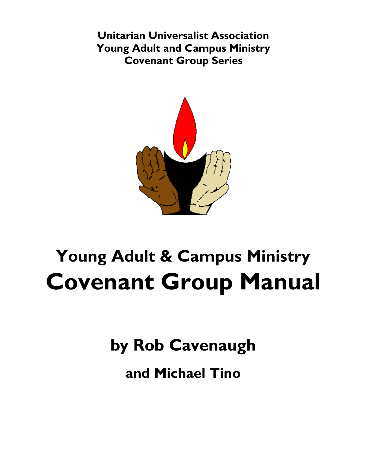**Unitarian Universalist Association Young Adult and Campus Ministry Covenant Group Series**



# **Young Adult & Campus Ministry Covenant Group Manual**

**by Rob Cavenaugh**

**and Michael Tino**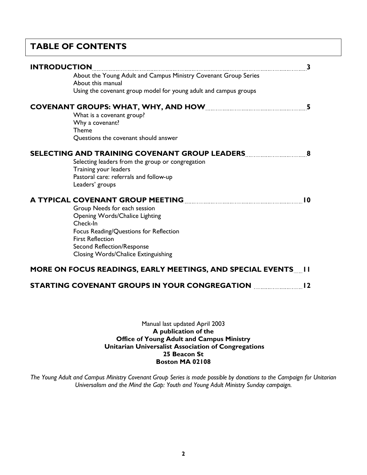# **TABLE OF CONTENTS**

| <b>INTRODUCTION</b>                                            |                                                                                      | 3               |
|----------------------------------------------------------------|--------------------------------------------------------------------------------------|-----------------|
|                                                                | About the Young Adult and Campus Ministry Covenant Group Series<br>About this manual |                 |
|                                                                | Using the covenant group model for young adult and campus groups                     |                 |
|                                                                |                                                                                      | 5               |
|                                                                | What is a covenant group?                                                            |                 |
|                                                                | Why a covenant?<br><b>Theme</b>                                                      |                 |
|                                                                | Questions the covenant should answer                                                 |                 |
|                                                                | SELECTING AND TRAINING COVENANT GROUP LEADERS                                        | 8               |
|                                                                | Selecting leaders from the group or congregation                                     |                 |
|                                                                | Training your leaders                                                                |                 |
|                                                                | Pastoral care: referrals and follow-up                                               |                 |
|                                                                | Leaders' groups                                                                      |                 |
|                                                                | A TYPICAL COVENANT GROUP MEETING <b>CONSTRUSTION</b>                                 | $\overline{10}$ |
|                                                                | Group Needs for each session                                                         |                 |
|                                                                | Opening Words/Chalice Lighting                                                       |                 |
|                                                                | Check-In                                                                             |                 |
|                                                                | Focus Reading/Questions for Reflection                                               |                 |
|                                                                | <b>First Reflection</b>                                                              |                 |
|                                                                | Second Reflection/Response<br>Closing Words/Chalice Extinguishing                    |                 |
|                                                                |                                                                                      |                 |
| MORE ON FOCUS READINGS, EARLY MEETINGS, AND SPECIAL EVENTS [1] |                                                                                      |                 |
|                                                                | STARTING COVENANT GROUPS IN YOUR CONGREGATION <b>EXAMPLE</b>                         | 12              |
|                                                                |                                                                                      |                 |

Manual last updated April 2003 **A publication of the Office of Young Adult and Campus Ministry Unitarian Universalist Association of Congregations 25 Beacon St Boston MA 02108**

*The Young Adult and Campus Ministry Covenant Group Series is made possible by donations to the Campaign for Unitarian Universalism and the Mind the Gap: Youth and Young Adult Ministry Sunday campaign.*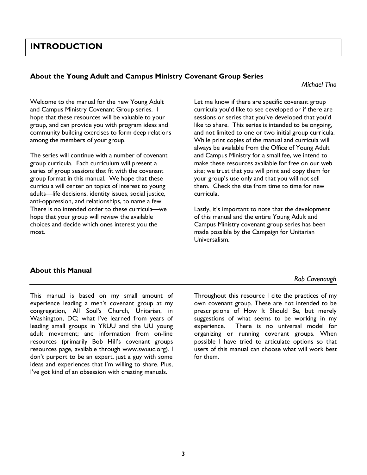# **INTRODUCTION**

#### **About the Young Adult and Campus Ministry Covenant Group Series**

*Michael Tino*

Welcome to the manual for the new Young Adult and Campus Ministry Covenant Group series. I hope that these resources will be valuable to your group, and can provide you with program ideas and community building exercises to form deep relations among the members of your group.

The series will continue with a number of covenant group curricula. Each curriculum will present a series of group sessions that fit with the covenant group format in this manual. We hope that these curricula will center on topics of interest to young adults—life decisions, identity issues, social justice, anti-oppression, and relationships, to name a few. There is no intended order to these curricula—we hope that your group will review the available choices and decide which ones interest you the most.

Let me know if there are specific covenant group curricula you'd like to see developed or if there are sessions or series that you've developed that you'd like to share. This series is intended to be ongoing, and not limited to one or two initial group curricula. While print copies of the manual and curricula will always be available from the Office of Young Adult and Campus Ministry for a small fee, we intend to make these resources available for free on our web site; we trust that you will print and copy them for your group's use only and that you will not sell them. Check the site from time to time for new curricula.

Lastly, it's important to note that the development of this manual and the entire Young Adult and Campus Ministry covenant group series has been made possible by the Campaign for Unitarian Universalism.

#### **About this Manual**

*Rob Cavenaugh*

This manual is based on my small amount of experience leading a men's covenant group at my congregation, All Soul's Church, Unitarian, in Washington, DC; what I've learned from years of leading small groups in YRUU and the UU young adult movement; and information from on-line resources (primarily Bob Hill's covenant groups resources page, available through www.swuuc.org). I don't purport to be an expert, just a guy with some ideas and experiences that I'm willing to share. Plus, I've got kind of an obsession with creating manuals.

Throughout this resource I cite the practices of my own covenant group. These are not intended to be prescriptions of How It Should Be, but merely suggestions of what seems to be working in my experience. There is no universal model for organizing or running covenant groups. When possible I have tried to articulate options so that users of this manual can choose what will work best for them.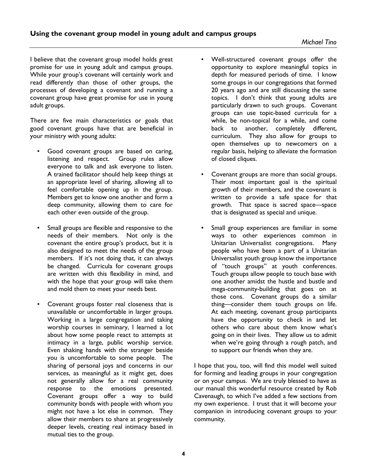I believe that the covenant group model holds great promise for use in young adult and campus groups. While your group's covenant will certainly work and read differently than those of other groups, the processes of developing a covenant and running a covenant group have great promise for use in young adult groups.

There are five main characteristics or goals that good covenant groups have that are beneficial in your ministry with young adults:

- Good covenant groups are based on caring, listening and respect. Group rules allow everyone to talk and ask everyone to listen. A trained facilitator should help keep things at an appropriate level of sharing, allowing all to feel comfortable opening up in the group. Members get to know one another and form a deep community, allowing them to care for each other even outside of the group.
- Small groups are flexible and responsive to the needs of their members. Not only is the covenant the entire group's product, but it is also designed to meet the needs of the group members. If it's not doing that, it can always be changed. Curricula for covenant groups are written with this flexibility in mind, and with the hope that your group will take them and mold them to meet your needs best.
- Covenant groups foster real closeness that is unavailable or uncomfortable in larger groups. Working in a large congregation and taking worship courses in seminary, I learned a lot about how some people react to attempts at intimacy in a large, public worship service. Even shaking hands with the stranger beside you is uncomfortable to some people. The sharing of personal joys and concerns in our services, as meaningful as it might get, does not generally allow for a real community response to the emotions presented. Covenant groups offer a way to build community bonds with people with whom you might not have a lot else in common. They allow their members to share at progressively deeper levels, creating real intimacy based in mutual ties to the group.
- Well-structured covenant groups offer the opportunity to explore meaningful topics in depth for measured periods of time. I know some groups in our congregations that formed 20 years ago and are still discussing the same topics. I don't think that young adults are particularly drawn to such groups. Covenant groups can use topic-based curricula for a while, be non-topical for a while, and come back to another, completely different, curriculum. They also allow for groups to open themselves up to newcomers on a regular basis, helping to alleviate the formation of closed cliques.
- Covenant groups are more than social groups. Their most important goal is the spiritual growth of their members, and the covenant is written to provide a safe space for that growth. That space is sacred space—space that is designated as special and unique.
- Small group experiences are familiar in some ways to other experiences common in Unitarian Universalist congregations. Many people who have been a part of a Unitarian Universalist youth group know the importance of "touch groups" at youth conferences. Touch groups allow people to touch base with one another amidst the hustle and bustle and mega-community-building that goes on at those cons. Covenant groups do a similar thing—consider them touch groups on life. At each meeting, covenant group participants have the opportunity to check in and let others who care about them know what's going on in their lives. They allow us to admit when we're going through a rough patch, and to support our friends when they are.

I hope that you, too, will find this model well suited for forming and leading groups in your congregation or on your campus. We are truly blessed to have as our manual this wonderful resource created by Rob Cavenaugh, to which I've added a few sections from my own experience. I trust that it will become your companion in introducing covenant groups to your community.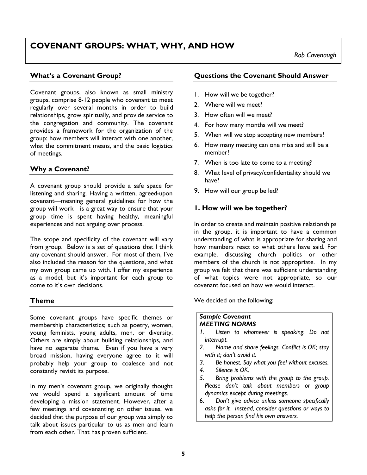# **COVENANT GROUPS: WHAT, WHY, AND HOW**

#### **What's a Covenant Group?**

Covenant groups, also known as small ministry groups, comprise 8-12 people who covenant to meet regularly over several months in order to build relationships, grow spiritually, and provide service to the congregation and community. The covenant provides a framework for the organization of the group: how members will interact with one another, what the commitment means, and the basic logistics of meetings.

## **Why a Covenant?**

A covenant group should provide a safe space for listening and sharing. Having a written, agreed-upon covenant—meaning general guidelines for how the group will work—is a great way to ensure that your group time is spent having healthy, meaningful experiences and not arguing over process.

The scope and specificity of the covenant will vary from group. Below is a set of questions that I think any covenant should answer. For most of them, I've also included the reason for the questions, and what my own group came up with. I offer my experience as a model, but it's important for each group to come to it's own decisions.

#### **Theme**

Some covenant groups have specific themes or membership characteristics; such as poetry, women, young feminists, young adults, men, or diversity. Others are simply about building relationships, and have no separate theme. Even if you have a very broad mission, having everyone agree to it will probably help your group to coalesce and not constantly revisit its purpose.

In my men's covenant group, we originally thought we would spend a significant amount of time developing a mission statement. However, after a few meetings and covenanting on other issues, we decided that the purpose of our group was simply to talk about issues particular to us as men and learn from each other. That has proven sufficient.

#### **Questions the Covenant Should Answer**

- 1. How will we be together?
- 2. Where will we meet?
- 3. How often will we meet?
- 4. For how many months will we meet?
- 5. When will we stop accepting new members?
- 6. How many meeting can one miss and still be a member?
- 7. When is too late to come to a meeting?
- 8. What level of privacy/confidentiality should we have?
- 9. How will our group be led?

#### **1. How will we be together?**

In order to create and maintain positive relationships in the group, it is important to have a common understanding of what is appropriate for sharing and how members react to what others have said. For example, discussing church politics or other members of the church is not appropriate. In my group we felt that there was sufficient understanding of what topics were not appropriate, so our covenant focused on how we would interact.

We decided on the following:

#### *Sample Covenant MEETING NORMS*

- *1. Listen to whomever is speaking. Do not interrupt.*
- *2. Name and share feelings. Conflict is OK; stay with it; don't avoid it.*
- *3. Be honest. Say what you feel without excuses.*
- *4. Silence is OK.*
- *5. Bring problems with the group to the group. Please don't talk about members or group dynamics except during meetings.*
- 6. *Don't give advice unless someone specifically asks for it. Instead, consider questions or ways to help the person find his own answers.*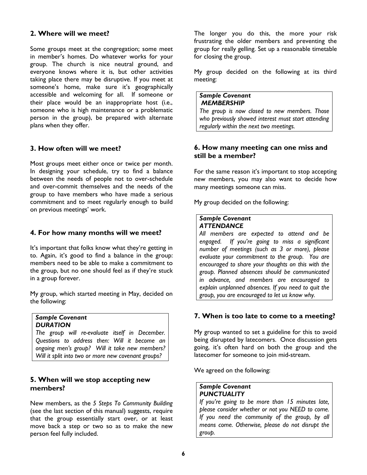#### **2. Where will we meet?**

Some groups meet at the congregation; some meet in member's homes. Do whatever works for your group. The church is nice neutral ground, and everyone knows where it is, but other activities taking place there may be disruptive. If you meet at someone's home, make sure it's geographically accessible and welcoming for all. If someone or their place would be an inappropriate host (i.e., someone who is high maintenance or a problematic person in the group), be prepared with alternate plans when they offer.

### **3. How often will we meet?**

Most groups meet either once or twice per month. In designing your schedule, try to find a balance between the needs of people not to over-schedule and over-commit themselves and the needs of the group to have members who have made a serious commitment and to meet regularly enough to build on previous meetings' work.

#### **4. For how many months will we meet?**

It's important that folks know what they're getting in to. Again, it's good to find a balance in the group: members need to be able to make a commitment to the group, but no one should feel as if they're stuck in a group forever.

My group, which started meeting in May, decided on the following:

#### *Sample Covenant DURATION*

*The group will re-evaluate itself in December. Questions to address then: Will it become an ongoing men's group? Will it take new members? Will it split into two or more new covenant groups?*

#### **5. When will we stop accepting new members?**

New members, as the *5 Steps To Community Building* (see the last section of this manual) suggests, require that the group essentially start over, or at least move back a step or two so as to make the new person feel fully included.

The longer you do this, the more your risk frustrating the older members and preventing the group for really gelling. Set up a reasonable timetable for closing the group.

My group decided on the following at its third meeting:

#### *Sample Covenant MEMBERSHIP*

*The group is now closed to new members. Those who previously showed interest must start attending regularly within the next two meetings.*

#### **6. How many meeting can one miss and still be a member?**

For the same reason it's important to stop accepting new members, you may also want to decide how many meetings someone can miss.

My group decided on the following:

#### *Sample Covenant ATTENDANCE*

*All members are expected to attend and be engaged. If you're going to miss a significant number of meetings (such as 3 or more), please evaluate your commitment to the group. You are encouraged to share your thoughts on this with the group. Planned absences should be communicated in advance, and members are encouraged to explain unplanned absences. If you need to quit the group, you are encouraged to let us know why.* 

#### **7. When is too late to come to a meeting?**

My group wanted to set a guideline for this to avoid being disrupted by latecomers. Once discussion gets going, it's often hard on both the group and the latecomer for someone to join mid-stream.

We agreed on the following:

#### *Sample Covenant PUNCTUALITY*

*If you're going to be more than 15 minutes late, please consider whether or not you NEED to come. If you need the community of the group, by all means come. Otherwise, please do not disrupt the group.*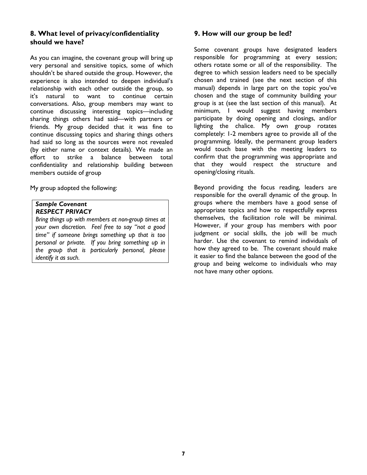## **8. What level of privacy/confidentiality should we have?**

As you can imagine, the covenant group will bring up very personal and sensitive topics, some of which shouldn't be shared outside the group. However, the experience is also intended to deepen individual's relationship with each other outside the group, so it's natural to want to continue certain conversations. Also, group members may want to continue discussing interesting topics—including sharing things others had said—with partners or friends. My group decided that it was fine to continue discussing topics and sharing things others had said so long as the sources were not revealed (by either name or context details). We made an effort to strike a balance between total confidentiality and relationship building between members outside of group

My group adopted the following:

#### *Sample Covenant RESPECT PRIVACY*

*Bring things up with members at non-group times at your own discretion. Feel free to say "not a good time" if someone brings something up that is too personal or private. If you bring something up in the group that is particularly personal, please identify it as such.* 

#### **9. How will our group be led?**

Some covenant groups have designated leaders responsible for programming at every session; others rotate some or all of the responsibility. The degree to which session leaders need to be specially chosen and trained (see the next section of this manual) depends in large part on the topic you've chosen and the stage of community building your group is at (see the last section of this manual). At minimum, I would suggest having members participate by doing opening and closings, and/or lighting the chalice. My own group rotates completely: 1-2 members agree to provide all of the programming. Ideally, the permanent group leaders would touch base with the meeting leaders to confirm that the programming was appropriate and that they would respect the structure and opening/closing rituals.

Beyond providing the focus reading, leaders are responsible for the overall dynamic of the group. In groups where the members have a good sense of appropriate topics and how to respectfully express themselves, the facilitation role will be minimal. However, if your group has members with poor judgment or social skills, the job will be much harder. Use the covenant to remind individuals of how they agreed to be. The covenant should make it easier to find the balance between the good of the group and being welcome to individuals who may not have many other options.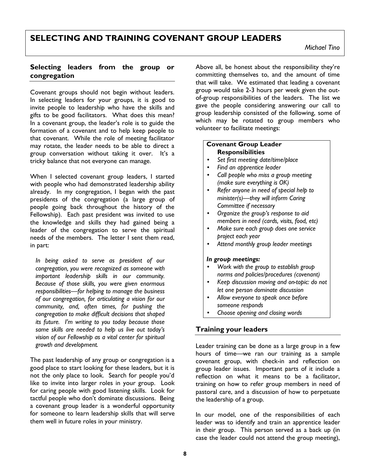# **SELECTING AND TRAINING COVENANT GROUP LEADERS**

### **Selecting leaders from the group or congregation**

Covenant groups should not begin without leaders. In selecting leaders for your groups, it is good to invite people to leadership who have the skills and gifts to be good facilitators. What does this mean? In a covenant group, the leader's role is to guide the formation of a covenant and to help keep people to that covenant. While the role of meeting facilitator may rotate, the leader needs to be able to direct a group conversation without taking it over. It's a tricky balance that not everyone can manage.

When I selected covenant group leaders, I started with people who had demonstrated leadership ability already. In my congregation, I began with the past presidents of the congregation (a large group of people going back throughout the history of the Fellowship). Each past president was invited to use the knowledge and skills they had gained being a leader of the congregation to serve the spiritual needs of the members. The letter I sent them read, in part:

*In being asked to serve as president of our congregation, you were recognized as someone with important leadership skills in our community. Because of those skills, you were given enormous responsibilities—for helping to manage the business of our congregation, for articulating a vision for our community, and, often times, for pushing the congregation to make difficult decisions that shaped its future. I'm writing to you today because those same skills are needed to help us live out today's vision of our Fellowship as a vital center for spiritual growth and development.*

The past leadership of any group or congregation is a good place to start looking for these leaders, but it is not the only place to look. Search for people you'd like to invite into larger roles in your group. Look for caring people with good listening skills. Look for tactful people who don't dominate discussions. Being a covenant group leader is a wonderful opportunity for someone to learn leadership skills that will serve them well in future roles in your ministry.

Above all, be honest about the responsibility they're committing themselves to, and the amount of time that will take. We estimated that leading a covenant group would take 2-3 hours per week given the outof-group responsibilities of the leaders. The list we gave the people considering answering our call to group leadership consisted of the following, some of which may be rotated to group members who volunteer to facilitate meetings:

#### **Covenant Group Leader Responsibilities**

- *Set first meeting date/time/place*
- *Find an apprentice leader*
- *Call people who miss a group meeting (make sure everything is OK)*
- *Refer anyone in need of special help to minister(s)—they will inform Caring Committee if necessary*
- *Organize the group's response to aid members in need (cards, visits, food, etc)*
- *Make sure each group does one service project each year*
- *Attend monthly group leader meetings*

#### *In group meetings:*

- *Work with the group to establish group norms and policies/procedures (covenant)*
- *Keep discussion moving and on-topic: do not let one person dominate discussion*
- *Allow everyone to speak once before someone responds*
- *Choose opening and closing words*

## **Training your leaders**

Leader training can be done as a large group in a few hours of time—we ran our training as a sample covenant group, with check-in and reflection on group leader issues. Important parts of it include a reflection on what it means to be a facilitator, training on how to refer group members in need of pastoral care, and a discussion of how to perpetuate the leadership of a group.

In our model, one of the responsibilities of each leader was to identify and train an apprentice leader in their group. This person served as a back up (in case the leader could not attend the group meeting),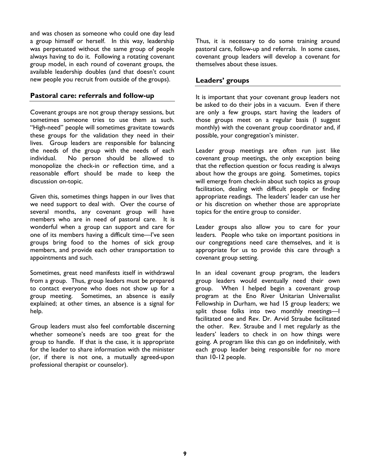and was chosen as someone who could one day lead a group himself or herself. In this way, leadership was perpetuated without the same group of people always having to do it. Following a rotating covenant group model, in each round of covenant groups, the available leadership doubles (and that doesn't count new people you recruit from outside of the groups).

#### **Pastoral care: referrals and follow-up**

Covenant groups are not group therapy sessions, but sometimes someone tries to use them as such. "High-need" people will sometimes gravitate towards these groups for the validation they need in their lives. Group leaders are responsible for balancing the needs of the group with the needs of each individual. No person should be allowed to monopolize the check-in or reflection time, and a reasonable effort should be made to keep the discussion on-topic.

Given this, sometimes things happen in our lives that we need support to deal with. Over the course of several months, any covenant group will have members who are in need of pastoral care. It is wonderful when a group can support and care for one of its members having a difficult time—I've seen groups bring food to the homes of sick group members, and provide each other transportation to appointments and such.

Sometimes, great need manifests itself in withdrawal from a group. Thus, group leaders must be prepared to contact everyone who does not show up for a group meeting. Sometimes, an absence is easily explained; at other times, an absence is a signal for help.

Group leaders must also feel comfortable discerning whether someone's needs are too great for the group to handle. If that is the case, it is appropriate for the leader to share information with the minister (or, if there is not one, a mutually agreed-upon professional therapist or counselor).

Thus, it is necessary to do some training around pastoral care, follow-up and referrals. In some cases, covenant group leaders will develop a covenant for themselves about these issues.

#### **Leaders' groups**

It is important that your covenant group leaders not be asked to do their jobs in a vacuum. Even if there are only a few groups, start having the leaders of those groups meet on a regular basis (I suggest monthly) with the covenant group coordinator and, if possible, your congregation's minister.

Leader group meetings are often run just like covenant group meetings, the only exception being that the reflection question or focus reading is always about how the groups are going. Sometimes, topics will emerge from check-in about such topics as group facilitation, dealing with difficult people or finding appropriate readings. The leaders' leader can use her or his discretion on whether those are appropriate topics for the entire group to consider.

Leader groups also allow you to care for your leaders. People who take on important positions in our congregations need care themselves, and it is appropriate for us to provide this care through a covenant group setting.

In an ideal covenant group program, the leaders group leaders would eventually need their own group. When I helped begin a covenant group program at the Eno River Unitarian Universalist Fellowship in Durham, we had 15 group leaders; we split those folks into two monthly meetings—I facilitated one and Rev. Dr. Arvid Straube facilitated the other. Rev. Straube and I met regularly as the leaders' leaders to check in on how things were going. A program like this can go on indefinitely, with each group leader being responsible for no more than 10-12 people.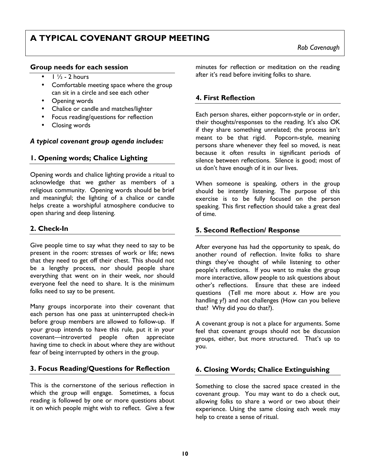# **A TYPICAL COVENANT GROUP MEETING**

#### **Group needs for each session**

- $\bullet$  1  $\frac{1}{2}$  2 hours
- Comfortable meeting space where the group can sit in a circle and see each other
- Opening words
- Chalice or candle and matches/lighter
- Focus reading/questions for reflection
- Closing words

#### *A typical covenant group agenda includes:*

### **1. Opening words; Chalice Lighting**

Opening words and chalice lighting provide a ritual to acknowledge that we gather as members of a religious community. Opening words should be brief and meaningful; the lighting of a chalice or candle helps create a worshipful atmosphere conducive to open sharing and deep listening.

## **2. Check-In**

Give people time to say what they need to say to be present in the room: stresses of work or life; news that they need to get off their chest. This should not be a lengthy process, nor should people share everything that went on in their week, nor should everyone feel the need to share. It is the minimum folks need to say to be present.

Many groups incorporate into their covenant that each person has one pass at uninterrupted check-in before group members are allowed to follow-up. If your group intends to have this rule, put it in your covenant—introverted people often appreciate having time to check in about where they are without fear of being interrupted by others in the group.

## **3. Focus Reading/Questions for Reflection**

This is the cornerstone of the serious reflection in which the group will engage. Sometimes, a focus reading is followed by one or more questions about it on which people might wish to reflect. Give a few minutes for reflection or meditation on the reading after it's read before inviting folks to share.

## **4. First Reflection**

Each person shares, either popcorn-style or in order, their thoughts/responses to the reading. It's also OK if they share something unrelated; the process isn't meant to be that rigid. Popcorn-style, meaning persons share whenever they feel so moved, is neat because it often results in significant periods of silence between reflections. Silence is good; most of us don't have enough of it in our lives.

When someone is speaking, others in the group should be intently listening. The purpose of this exercise is to be fully focused on the person speaking. This first reflection should take a great deal of time.

#### **5. Second Reflection/ Response**

After everyone has had the opportunity to speak, do another round of reflection. Invite folks to share things they've thought of while listening to other people's reflections. If you want to make the group more interactive, allow people to ask questions about other's reflections. Ensure that these are indeed questions (Tell me more about *x*. How are you handling *y*?) and not challenges (How can you believe that? Why did you do that?).

A covenant group is not a place for arguments. Some feel that covenant groups should not be discussion groups, either, but more structured. That's up to you.

## **6. Closing Words; Chalice Extinguishing**

Something to close the sacred space created in the covenant group. You may want to do a check out, allowing folks to share a word or two about their experience. Using the same closing each week may help to create a sense of ritual.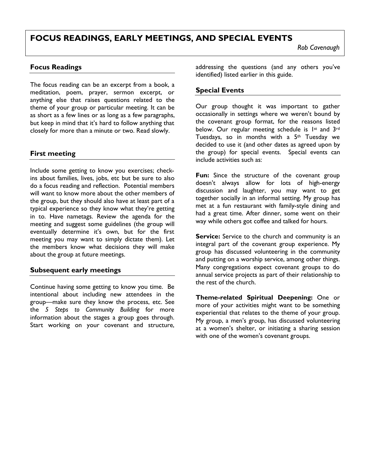# **FOCUS READINGS, EARLY MEETINGS, AND SPECIAL EVENTS**

#### **Focus Readings**

The focus reading can be an excerpt from a book, a meditation, poem, prayer, sermon excerpt, or anything else that raises questions related to the theme of your group or particular meeting. It can be as short as a few lines or as long as a few paragraphs, but keep in mind that it's hard to follow anything that closely for more than a minute or two. Read slowly.

### **First meeting**

Include some getting to know you exercises; checkins about families, lives, jobs, etc but be sure to also do a focus reading and reflection. Potential members will want to know more about the other members of the group, but they should also have at least part of a typical experience so they know what they're getting in to. Have nametags. Review the agenda for the meeting and suggest some guidelines (the group will eventually determine it's own, but for the first meeting you may want to simply dictate them). Let the members know what decisions they will make about the group at future meetings.

#### **Subsequent early meetings**

Continue having some getting to know you time. Be intentional about including new attendees in the group—make sure they know the process, etc. See the *5 Steps to Community Building* for more information about the stages a group goes through. Start working on your covenant and structure, addressing the questions (and any others you've identified) listed earlier in this guide.

#### **Special Events**

Our group thought it was important to gather occasionally in settings where we weren't bound by the covenant group format, for the reasons listed below. Our regular meeting schedule is 1st and 3rd Tuesdays, so in months with a 5th Tuesday we decided to use it (and other dates as agreed upon by the group) for special events. Special events can include activities such as:

Fun: Since the structure of the covenant group doesn't always allow for lots of high-energy discussion and laughter, you may want to get together socially in an informal setting. My group has met at a fun restaurant with family-style dining and had a great time. After dinner, some went on their way while others got coffee and talked for hours.

**Service:** Service to the church and community is an integral part of the covenant group experience. My group has discussed volunteering in the community and putting on a worship service, among other things. Many congregations expect covenant groups to do annual service projects as part of their relationship to the rest of the church.

**Theme-related Spiritual Deepening:** One or more of your activities might want to be something experiential that relates to the theme of your group. My group, a men's group, has discussed volunteering at a women's shelter, or initiating a sharing session with one of the women's covenant groups.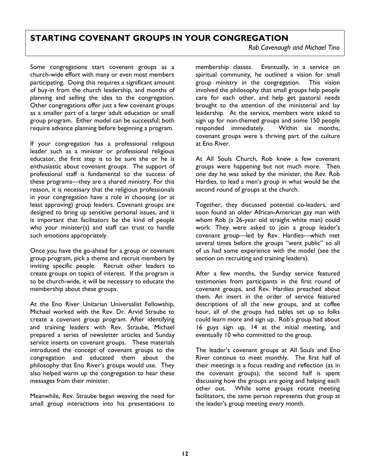# **STARTING COVENANT GROUPS IN YOUR CONGREGATION**

*Rob Cavenaugh and Michael Tino*

Some congregations start covenant groups as a church-wide effort with many or even most members participating. Doing this requires a significant amount of buy-in from the church leadership, and months of planning and selling the idea to the congregation. Other congregations offer just a few covenant groups as a smaller part of a larger adult education or small group program. Either model can be successful; both require advance planning before beginning a program.

If your congregation has a professional religious leader such as a minister or professional religious educator, the first step is to be sure she or he is enthusiastic about covenant groups. The support of professional staff is fundamental to the success of these programs—they are a shared ministry. For this reason, it is necessary that the religious professionals in your congregation have a role in choosing (or at least approving) group leaders. Covenant groups are designed to bring up sensitive personal issues, and it is important that facilitators be the kind of people who your minister(s) and staff can trust to handle such emotions appropriately.

Once you have the go-ahead for a group or covenant group program, pick a theme and recruit members by inviting specific people. Recruit other leaders to create groups on topics of interest. If the program is to be church-wide, it will be necessary to educate the membership about these groups.

At the Eno River Unitarian Universalist Fellowship, Michael worked with the Rev. Dr. Arvid Straube to create a covenant group program. After identifying and training leaders with Rev. Straube, Michael prepared a series of newsletter articles and Sunday service inserts on covenant groups. These materials introduced the concept of covenant groups to the congregation and educated them about the philosophy that Eno River's groups would use. They also helped warm up the congregation to hear these messages from their minister.

Meanwhile, Rev. Straube began weaving the need for small group interactions into his presentations to membership classes. Eventually, in a service on spiritual community, he outlined a vision for small group ministry in the congregation. This vision involved the philosophy that small groups help people care for each other, and help get pastoral needs brought to the attention of the ministerial and lay leadership. At the service, members were asked to sign up for non-themed groups and some 150 people responded immediately. Within six months, covenant groups were a thriving part of the culture at Eno River.

At All Souls Church, Rob knew a few covenant groups were happening but not much more. Then one day he was asked by the minister, the Rev. Rob Hardies, to lead a men's group in what would be the second round of groups at the church.

Together, they discussed potential co-leaders, and soon found an older African-American gay man with whom Rob (a 26-year old straight white man) could work. They were asked to join a group leader's covenant group—led by Rev. Hardies—which met several times before the groups "went public" so all of us had some experience with the model (see the section on recruiting and training leaders).

After a few months, the Sunday service featured testimonies from participants in the first round of covenant groups, and Rev. Hardies preached about them. An insert in the order of service featured descriptions of all the new groups, and at coffee hour, all of the groups had tables set up so folks could learn more and sign up. Rob's group had about 16 guys sign up, 14 at the initial meeting, and eventually 10 who committed to the group.

The leader's covenant groups at All Souls and Eno River continue to meet monthly. The first half of their meetings is a focus reading and reflection (as in the covenant groups); the second half is spent discussing how the groups are going and helping each other out. While some groups rotate meeting facilitators, the same person represents that group at the leader's group meeting every month.